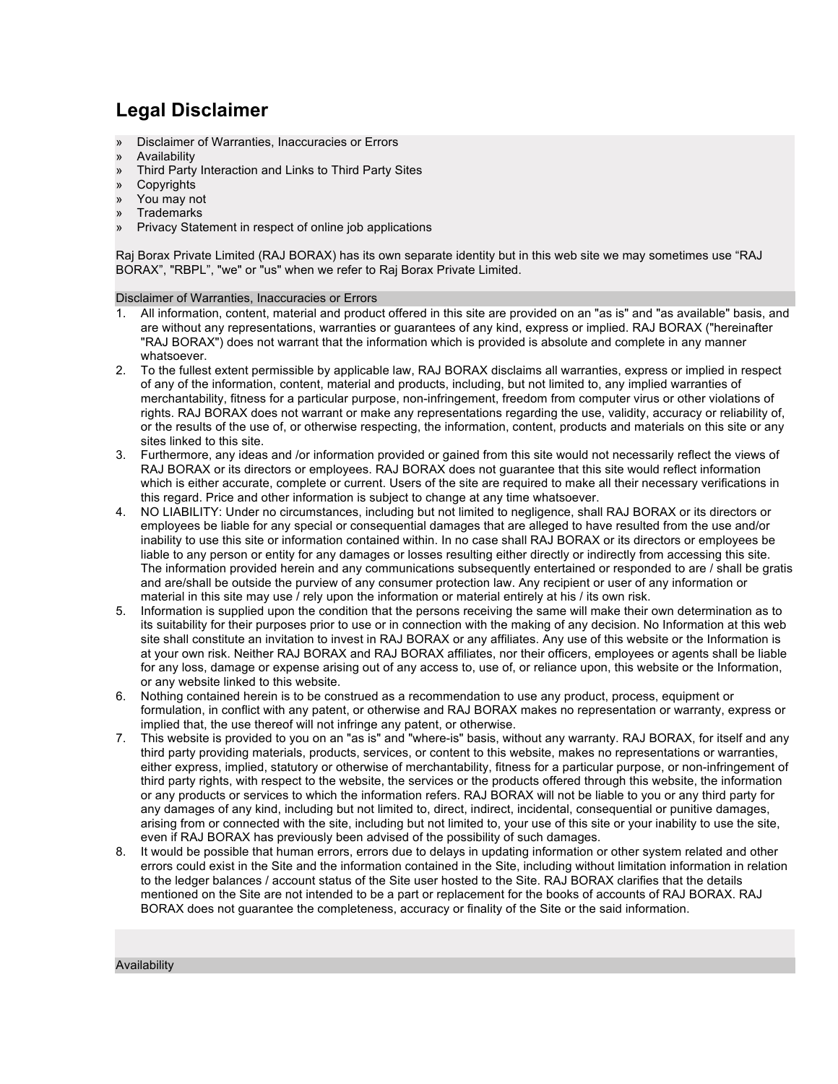# **Legal Disclaimer**

- » Disclaimer of Warranties, Inaccuracies or Errors
- » Availability
- » Third Party Interaction and Links to Third Party Sites
- » Copyrights
- » You may not
- **Trademarks**
- » Privacy Statement in respect of online job applications

Raj Borax Private Limited (RAJ BORAX) has its own separate identity but in this web site we may sometimes use "RAJ BORAX", "RBPL", "we" or "us" when we refer to Raj Borax Private Limited.

# Disclaimer of Warranties, Inaccuracies or Errors

- 1. All information, content, material and product offered in this site are provided on an "as is" and "as available" basis, and are without any representations, warranties or guarantees of any kind, express or implied. RAJ BORAX ("hereinafter "RAJ BORAX") does not warrant that the information which is provided is absolute and complete in any manner whatsoever.
- 2. To the fullest extent permissible by applicable law, RAJ BORAX disclaims all warranties, express or implied in respect of any of the information, content, material and products, including, but not limited to, any implied warranties of merchantability, fitness for a particular purpose, non-infringement, freedom from computer virus or other violations of rights. RAJ BORAX does not warrant or make any representations regarding the use, validity, accuracy or reliability of, or the results of the use of, or otherwise respecting, the information, content, products and materials on this site or any sites linked to this site.
- 3. Furthermore, any ideas and /or information provided or gained from this site would not necessarily reflect the views of RAJ BORAX or its directors or employees. RAJ BORAX does not guarantee that this site would reflect information which is either accurate, complete or current. Users of the site are required to make all their necessary verifications in this regard. Price and other information is subject to change at any time whatsoever.
- 4. NO LIABILITY: Under no circumstances, including but not limited to negligence, shall RAJ BORAX or its directors or employees be liable for any special or consequential damages that are alleged to have resulted from the use and/or inability to use this site or information contained within. In no case shall RAJ BORAX or its directors or employees be liable to any person or entity for any damages or losses resulting either directly or indirectly from accessing this site. The information provided herein and any communications subsequently entertained or responded to are / shall be gratis and are/shall be outside the purview of any consumer protection law. Any recipient or user of any information or material in this site may use / rely upon the information or material entirely at his / its own risk.
- 5. Information is supplied upon the condition that the persons receiving the same will make their own determination as to its suitability for their purposes prior to use or in connection with the making of any decision. No Information at this web site shall constitute an invitation to invest in RAJ BORAX or any affiliates. Any use of this website or the Information is at your own risk. Neither RAJ BORAX and RAJ BORAX affiliates, nor their officers, employees or agents shall be liable for any loss, damage or expense arising out of any access to, use of, or reliance upon, this website or the Information, or any website linked to this website.
- 6. Nothing contained herein is to be construed as a recommendation to use any product, process, equipment or formulation, in conflict with any patent, or otherwise and RAJ BORAX makes no representation or warranty, express or implied that, the use thereof will not infringe any patent, or otherwise.
- 7. This website is provided to you on an "as is" and "where-is" basis, without any warranty. RAJ BORAX, for itself and any third party providing materials, products, services, or content to this website, makes no representations or warranties, either express, implied, statutory or otherwise of merchantability, fitness for a particular purpose, or non-infringement of third party rights, with respect to the website, the services or the products offered through this website, the information or any products or services to which the information refers. RAJ BORAX will not be liable to you or any third party for any damages of any kind, including but not limited to, direct, indirect, incidental, consequential or punitive damages, arising from or connected with the site, including but not limited to, your use of this site or your inability to use the site, even if RAJ BORAX has previously been advised of the possibility of such damages.
- 8. It would be possible that human errors, errors due to delays in updating information or other system related and other errors could exist in the Site and the information contained in the Site, including without limitation information in relation to the ledger balances / account status of the Site user hosted to the Site. RAJ BORAX clarifies that the details mentioned on the Site are not intended to be a part or replacement for the books of accounts of RAJ BORAX. RAJ BORAX does not guarantee the completeness, accuracy or finality of the Site or the said information.

#### Availability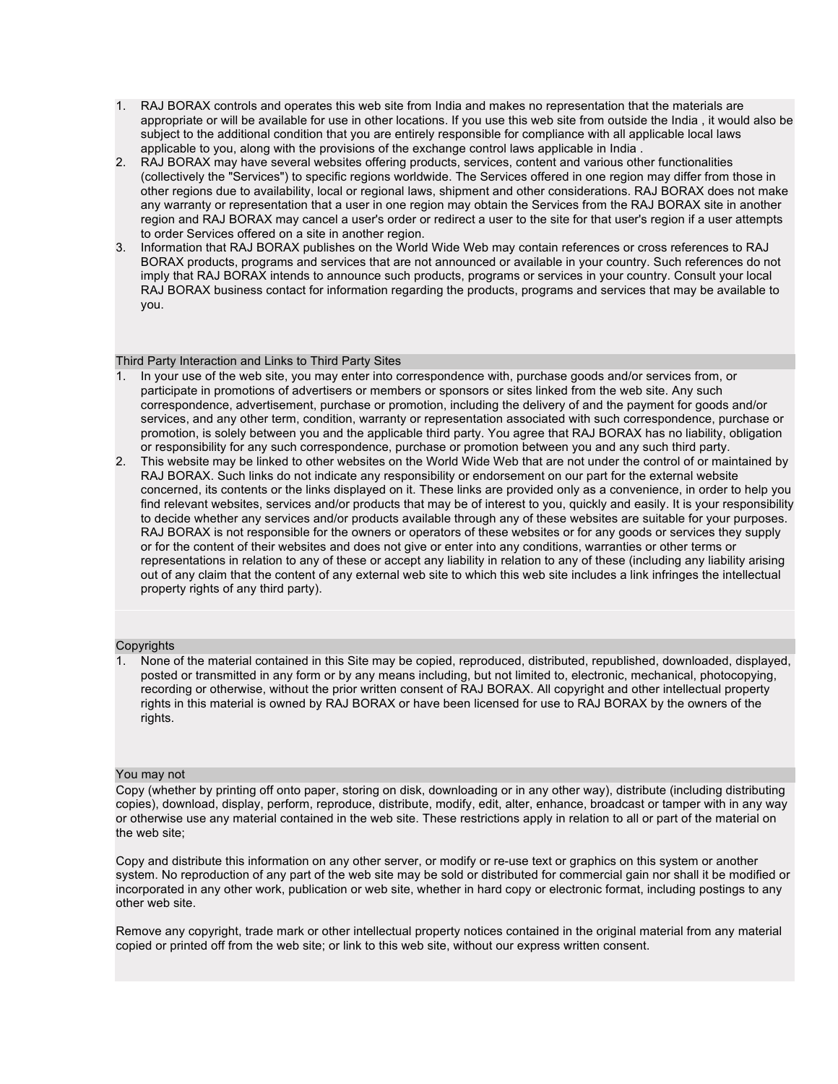- 1. RAJ BORAX controls and operates this web site from India and makes no representation that the materials are appropriate or will be available for use in other locations. If you use this web site from outside the India , it would also be subject to the additional condition that you are entirely responsible for compliance with all applicable local laws applicable to you, along with the provisions of the exchange control laws applicable in India .
- 2. RAJ BORAX may have several websites offering products, services, content and various other functionalities (collectively the "Services") to specific regions worldwide. The Services offered in one region may differ from those in other regions due to availability, local or regional laws, shipment and other considerations. RAJ BORAX does not make any warranty or representation that a user in one region may obtain the Services from the RAJ BORAX site in another region and RAJ BORAX may cancel a user's order or redirect a user to the site for that user's region if a user attempts to order Services offered on a site in another region.
- 3. Information that RAJ BORAX publishes on the World Wide Web may contain references or cross references to RAJ BORAX products, programs and services that are not announced or available in your country. Such references do not imply that RAJ BORAX intends to announce such products, programs or services in your country. Consult your local RAJ BORAX business contact for information regarding the products, programs and services that may be available to you.

# Third Party Interaction and Links to Third Party Sites

- 1. In your use of the web site, you may enter into correspondence with, purchase goods and/or services from, or participate in promotions of advertisers or members or sponsors or sites linked from the web site. Any such correspondence, advertisement, purchase or promotion, including the delivery of and the payment for goods and/or services, and any other term, condition, warranty or representation associated with such correspondence, purchase or promotion, is solely between you and the applicable third party. You agree that RAJ BORAX has no liability, obligation or responsibility for any such correspondence, purchase or promotion between you and any such third party.
- 2. This website may be linked to other websites on the World Wide Web that are not under the control of or maintained by RAJ BORAX. Such links do not indicate any responsibility or endorsement on our part for the external website concerned, its contents or the links displayed on it. These links are provided only as a convenience, in order to help you find relevant websites, services and/or products that may be of interest to you, quickly and easily. It is your responsibility to decide whether any services and/or products available through any of these websites are suitable for your purposes. RAJ BORAX is not responsible for the owners or operators of these websites or for any goods or services they supply or for the content of their websites and does not give or enter into any conditions, warranties or other terms or representations in relation to any of these or accept any liability in relation to any of these (including any liability arising out of any claim that the content of any external web site to which this web site includes a link infringes the intellectual property rights of any third party).

## **Copyrights**

1. None of the material contained in this Site may be copied, reproduced, distributed, republished, downloaded, displayed, posted or transmitted in any form or by any means including, but not limited to, electronic, mechanical, photocopying, recording or otherwise, without the prior written consent of RAJ BORAX. All copyright and other intellectual property rights in this material is owned by RAJ BORAX or have been licensed for use to RAJ BORAX by the owners of the rights.

## You may not

Copy (whether by printing off onto paper, storing on disk, downloading or in any other way), distribute (including distributing copies), download, display, perform, reproduce, distribute, modify, edit, alter, enhance, broadcast or tamper with in any way or otherwise use any material contained in the web site. These restrictions apply in relation to all or part of the material on the web site;

Copy and distribute this information on any other server, or modify or re-use text or graphics on this system or another system. No reproduction of any part of the web site may be sold or distributed for commercial gain nor shall it be modified or incorporated in any other work, publication or web site, whether in hard copy or electronic format, including postings to any other web site.

Remove any copyright, trade mark or other intellectual property notices contained in the original material from any material copied or printed off from the web site; or link to this web site, without our express written consent.